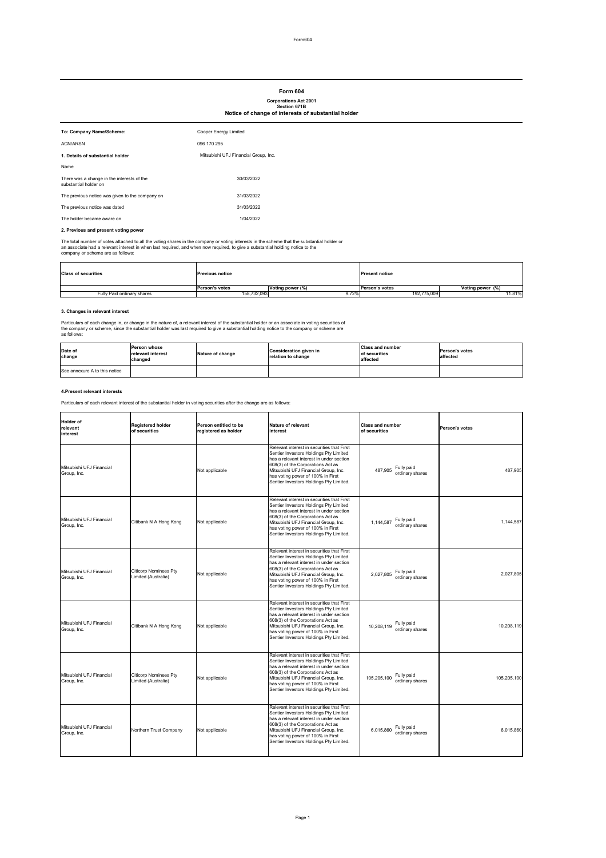Form604

# **2. Previous and present voting power**

The total number of votes attached to all the voting shares in the company or voting interests in the scheme that the substantial holder or an associate had a relevant interest in when last required, and when now required, to give a substantial holding notice to the company or scheme are as follows:

# **3. Changes in relevant interest**

Particulars of each change in, or change in the nature of, a relevant interest of the substantial holder or an associate in voting securities of the company or scheme, since the substantial holder was last required to give a substantial holding notice to the company or scheme are as follows:

### **4.Present relevant interests**

Particulars of each relevant interest of the substantial holder in voting securities after the change are as follows:

| To: Company Name/Scheme:                                            | Cooper Energy Limited                |
|---------------------------------------------------------------------|--------------------------------------|
| <b>ACN/ARSN</b>                                                     | 096 170 295                          |
| 1. Details of substantial holder                                    | Mitsubishi UFJ Financial Group, Inc. |
| Name                                                                |                                      |
| There was a change in the interests of the<br>substantial holder on | 30/03/2022                           |
| The previous notice was given to the company on                     | 31/03/2022                           |
| The previous notice was dated                                       | 31/03/2022                           |
| The holder became aware on                                          | 1/04/2022                            |

| <b>Class of securities</b> | <b>Previous notice</b> |                  | <b>Present notice</b> |                      |
|----------------------------|------------------------|------------------|-----------------------|----------------------|
|                            | <b>Person's votes</b>  | Voting power (%) | <b>Person's votes</b> | Voting power (%)     |
| Fully Paid ordinary shares | 158,732,093            | 9.72%            | 192,775,009           | $11.\overline{81\%}$ |

| Holder of<br>relevant<br>interest       | <b>Registered holder</b><br>of securities           | Person entitled to be<br>registered as holder | Nature of relevant<br>interest                                                                                                                                                                                                                                                                | <b>Class and number</b><br>of securities     | <b>Person's votes</b> |
|-----------------------------------------|-----------------------------------------------------|-----------------------------------------------|-----------------------------------------------------------------------------------------------------------------------------------------------------------------------------------------------------------------------------------------------------------------------------------------------|----------------------------------------------|-----------------------|
| Mitsubishi UFJ Financial<br>Group, Inc. |                                                     | Not applicable                                | Relevant interest in securities that First<br>Sentier Investors Holdings Pty Limited<br>has a relevant interest in under section<br>608(3) of the Corporations Act as<br>Mitsubishi UFJ Financial Group, Inc.<br>has voting power of 100% in First<br>Sentier Investors Holdings Pty Limited. | Fully paid<br>487,905<br>ordinary shares     | 487,905               |
| Mitsubishi UFJ Financial<br>Group, Inc. | Citibank N A Hong Kong                              | Not applicable                                | Relevant interest in securities that First<br>Sentier Investors Holdings Pty Limited<br>has a relevant interest in under section<br>608(3) of the Corporations Act as<br>Mitsubishi UFJ Financial Group, Inc.<br>has voting power of 100% in First<br>Sentier Investors Holdings Pty Limited. | Fully paid<br>1,144,587<br>ordinary shares   | 1,144,587             |
| Mitsubishi UFJ Financial<br>Group, Inc. | Citicorp Nominees Pty<br>Limited (Australia)        | Not applicable                                | Relevant interest in securities that First<br>Sentier Investors Holdings Pty Limited<br>has a relevant interest in under section<br>608(3) of the Corporations Act as<br>Mitsubishi UFJ Financial Group, Inc.<br>has voting power of 100% in First<br>Sentier Investors Holdings Pty Limited. | Fully paid<br>2,027,805<br>ordinary shares   | 2,027,805             |
| Mitsubishi UFJ Financial<br>Group, Inc. | Citibank N A Hong Kong                              | Not applicable                                | Relevant interest in securities that First<br>Sentier Investors Holdings Pty Limited<br>has a relevant interest in under section<br>608(3) of the Corporations Act as<br>Mitsubishi UFJ Financial Group, Inc.<br>has voting power of 100% in First<br>Sentier Investors Holdings Pty Limited. | Fully paid<br>10,208,119<br>ordinary shares  | 10,208,119            |
| Mitsubishi UFJ Financial<br>Group, Inc. | <b>Citicorp Nominees Pty</b><br>Limited (Australia) | Not applicable                                | Relevant interest in securities that First<br>Sentier Investors Holdings Pty Limited<br>has a relevant interest in under section<br>608(3) of the Corporations Act as<br>Mitsubishi UFJ Financial Group, Inc.<br>has voting power of 100% in First<br>Sentier Investors Holdings Pty Limited. | Fully paid<br>105,205,100<br>ordinary shares | 105,205,100           |
| Mitsubishi UFJ Financial<br>Group, Inc. | Northern Trust Company                              | Not applicable                                | Relevant interest in securities that First<br>Sentier Investors Holdings Pty Limited<br>has a relevant interest in under section<br>608(3) of the Corporations Act as<br>Mitsubishi UFJ Financial Group, Inc.<br>has voting power of 100% in First<br>Sentier Investors Holdings Pty Limited. | Fully paid<br>6,015,860<br>ordinary shares   | 6,015,860             |

# **Form 604**

### **Corporations Act 2001 Section 671B Notice of change of interests of substantial holder**

| Date of<br>change             | lPerson whose<br><b>Irelevant interest</b><br>changed | Nature of change | Consideration given in<br>relation to change | <b>Class and number</b><br>of securities<br>affected | <b>IPerson's votes</b><br>laffected |
|-------------------------------|-------------------------------------------------------|------------------|----------------------------------------------|------------------------------------------------------|-------------------------------------|
| See annexure A to this notice |                                                       |                  |                                              |                                                      |                                     |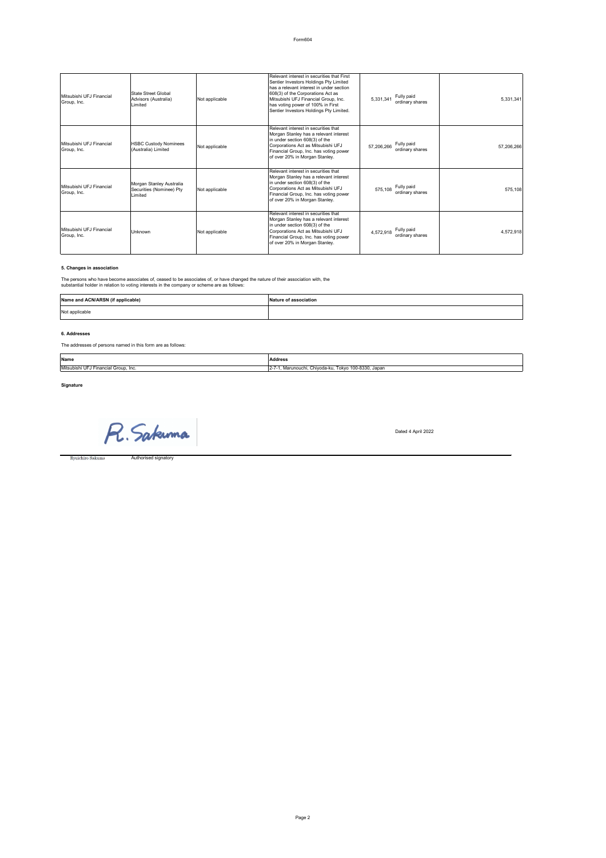# **5. Changes in association**

The persons who have become associates of, ceased to be associates of, or have changed the nature of their association with, the substantial holder in relation to voting interests in the company or scheme are as follows:

# **6. Addresses**

# The addresses of persons named in this form are as follows:

Dated 4 April 2022

Ryuichiro Sakuma

Authorised signatory

| Mitsubishi UFJ Financial<br>Group, Inc. | State Street Global<br>Advisors (Australia)<br>Limited          | Not applicable | Relevant interest in securities that First<br>Sentier Investors Holdings Pty Limited<br>has a relevant interest in under section<br>608(3) of the Corporations Act as<br>Mitsubishi UFJ Financial Group, Inc.<br>has voting power of 100% in First<br>Sentier Investors Holdings Pty Limited. | Fully paid<br>5,331,341<br>ordinary shares  | 5,331,341  |
|-----------------------------------------|-----------------------------------------------------------------|----------------|-----------------------------------------------------------------------------------------------------------------------------------------------------------------------------------------------------------------------------------------------------------------------------------------------|---------------------------------------------|------------|
| Mitsubishi UFJ Financial<br>Group, Inc. | <b>HSBC Custody Nominees</b><br>(Australia) Limited             | Not applicable | Relevant interest in securities that<br>Morgan Stanley has a relevant interest<br>in under section 608(3) of the<br>Corporations Act as Mitsubishi UFJ<br>Financial Group, Inc. has voting power<br>of over 20% in Morgan Stanley.                                                            | Fully paid<br>57,206,266<br>ordinary shares | 57,206,266 |
| Mitsubishi UFJ Financial<br>Group, Inc. | Morgan Stanley Australia<br>Securities (Nominee) Pty<br>Limited | Not applicable | Relevant interest in securities that<br>Morgan Stanley has a relevant interest<br>in under section 608(3) of the<br>Corporations Act as Mitsubishi UFJ<br>Financial Group, Inc. has voting power<br>of over 20% in Morgan Stanley.                                                            | Fully paid<br>575,108<br>ordinary shares    | 575,108    |
| Mitsubishi UFJ Financial<br>Group, Inc. | <b>Unknown</b>                                                  | Not applicable | Relevant interest in securities that<br>Morgan Stanley has a relevant interest<br>in under section 608(3) of the<br>Corporations Act as Mitsubishi UFJ<br>Financial Group, Inc. has voting power<br>of over 20% in Morgan Stanley.                                                            | Fully paid<br>4,572,918<br>ordinary shares  | 4,572,918  |

| Name                  | <b>Address</b>                         |
|-----------------------|----------------------------------------|
| Mitsubishi            | Tokyo 100-8330, Japan                  |
| UFJ                   | , Marunouchi, Chiyoda-ku, <sup>⊤</sup> |
| Financial Group, Inc. | IZ-                                    |

 $\sim 10^{-1}$ R. Sakuma

| Name and ACN/ARSN (if applicable) | <b>Nature of association</b> |
|-----------------------------------|------------------------------|
| Not applicable                    |                              |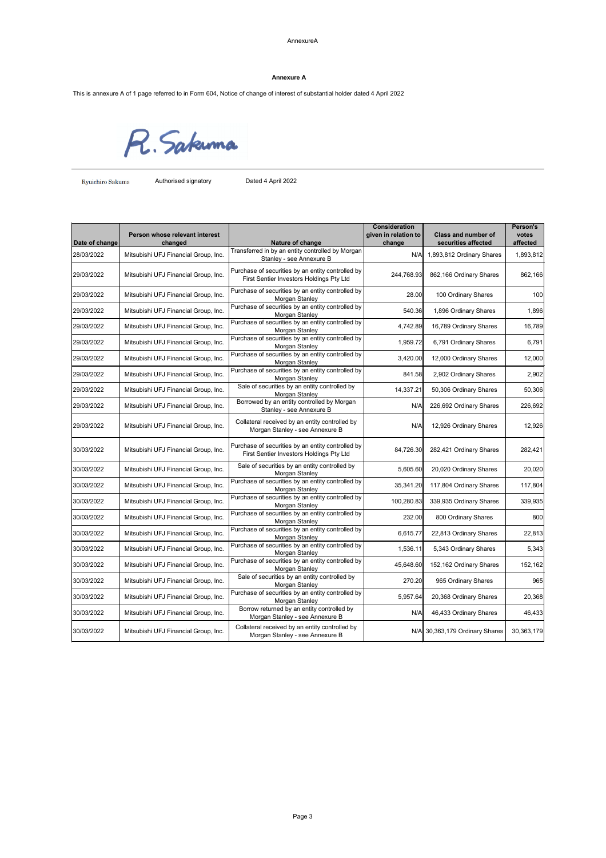#### AnnexureA

This is annexure A of 1 page referred to in Form 604, Notice of change of interest of substantial holder dated 4 April 2022

R. Sakuma

Ryuichiro Sakuma **Authorised signatory** Dated 4 April 2022

| Date of change | Person whose relevant interest<br>changed | Nature of change                                                                              | <b>Consideration</b><br>given in relation to<br>change | <b>Class and number of</b><br>securities affected | <b>Person's</b><br>votes<br>affected |
|----------------|-------------------------------------------|-----------------------------------------------------------------------------------------------|--------------------------------------------------------|---------------------------------------------------|--------------------------------------|
| 28/03/2022     | Mitsubishi UFJ Financial Group, Inc.      | Transferred in by an entity controlled by Morgan<br>Stanley - see Annexure B                  | N/A                                                    | 1,893,812 Ordinary Shares                         | 1,893,812                            |
| 29/03/2022     | Mitsubishi UFJ Financial Group, Inc.      | Purchase of securities by an entity controlled by<br>First Sentier Investors Holdings Pty Ltd | 244,768.93                                             | 862,166 Ordinary Shares                           | 862,166                              |
| 29/03/2022     | Mitsubishi UFJ Financial Group, Inc.      | Purchase of securities by an entity controlled by<br>Morgan Stanley                           | 28.00                                                  | 100 Ordinary Shares                               | 100                                  |
| 29/03/2022     | Mitsubishi UFJ Financial Group, Inc.      | Purchase of securities by an entity controlled by<br>Morgan Stanley                           | 540.36                                                 | 1,896 Ordinary Shares                             | 1,896                                |
| 29/03/2022     | Mitsubishi UFJ Financial Group, Inc.      | Purchase of securities by an entity controlled by<br>Morgan Stanley                           | 4,742.89                                               | 16,789 Ordinary Shares                            | 16,789                               |
| 29/03/2022     | Mitsubishi UFJ Financial Group, Inc.      | Purchase of securities by an entity controlled by<br>Morgan Stanley                           | 1,959.72                                               | 6,791 Ordinary Shares                             | 6,791                                |
| 29/03/2022     | Mitsubishi UFJ Financial Group, Inc.      | Purchase of securities by an entity controlled by<br>Morgan Stanley                           | 3,420.00                                               | 12,000 Ordinary Shares                            | 12,000                               |
| 29/03/2022     | Mitsubishi UFJ Financial Group, Inc.      | Purchase of securities by an entity controlled by<br>Morgan Stanley                           | 841.58                                                 | 2,902 Ordinary Shares                             | 2,902                                |
| 29/03/2022     | Mitsubishi UFJ Financial Group, Inc.      | Sale of securities by an entity controlled by<br>Morgan Stanley                               | 14,337.21                                              | 50,306 Ordinary Shares                            | 50,306                               |
| 29/03/2022     | Mitsubishi UFJ Financial Group, Inc.      | Borrowed by an entity controlled by Morgan<br>Stanley - see Annexure B                        | N/A                                                    | 226,692 Ordinary Shares                           | 226,692                              |
| 29/03/2022     | Mitsubishi UFJ Financial Group, Inc.      | Collateral received by an entity controlled by<br>Morgan Stanley - see Annexure B             | N/A                                                    | 12,926 Ordinary Shares                            | 12,926                               |
| 30/03/2022     | Mitsubishi UFJ Financial Group, Inc.      | Purchase of securities by an entity controlled by<br>First Sentier Investors Holdings Pty Ltd | 84,726.30                                              | 282,421 Ordinary Shares                           | 282,421                              |
| 30/03/2022     | Mitsubishi UFJ Financial Group, Inc.      | Sale of securities by an entity controlled by<br>Morgan Stanley                               | 5,605.60                                               | 20,020 Ordinary Shares                            | 20,020                               |
| 30/03/2022     | Mitsubishi UFJ Financial Group, Inc.      | Purchase of securities by an entity controlled by<br>Morgan Stanley                           | 35,341.20                                              | 117,804 Ordinary Shares                           | 117,804                              |
| 30/03/2022     | Mitsubishi UFJ Financial Group, Inc.      | Purchase of securities by an entity controlled by<br>Morgan Stanley                           | 100,280.83                                             | 339,935 Ordinary Shares                           | 339,935                              |
| 30/03/2022     | Mitsubishi UFJ Financial Group, Inc.      | Purchase of securities by an entity controlled by<br>Morgan Stanley                           | 232.00                                                 | 800 Ordinary Shares                               | 800                                  |
| 30/03/2022     | Mitsubishi UFJ Financial Group, Inc.      | Purchase of securities by an entity controlled by<br>Morgan Stanley                           | 6,615.77                                               | 22,813 Ordinary Shares                            | 22,813                               |
| 30/03/2022     | Mitsubishi UFJ Financial Group, Inc.      | Purchase of securities by an entity controlled by<br>Morgan Stanley                           | 1,536.11                                               | 5,343 Ordinary Shares                             | 5,343                                |

| 30/03/2022 | Mitsubishi UFJ Financial Group, Inc. | Purchase of securities by an entity controlled by  <br>Morgan Stanley             | 45,648.60 | 152,162 Ordinary Shares        | 152,162    |
|------------|--------------------------------------|-----------------------------------------------------------------------------------|-----------|--------------------------------|------------|
| 30/03/2022 | Mitsubishi UFJ Financial Group, Inc. | Sale of securities by an entity controlled by<br>Morgan Stanley                   | 270.20    | 965 Ordinary Shares            | 965        |
| 30/03/2022 | Mitsubishi UFJ Financial Group, Inc. | Purchase of securities by an entity controlled by<br>Morgan Stanley               | 5,957.64  | 20,368 Ordinary Shares         | 20,368     |
| 30/03/2022 | Mitsubishi UFJ Financial Group, Inc. | Borrow returned by an entity controlled by<br>Morgan Stanley - see Annexure B     | N/A       | 46,433 Ordinary Shares         | 46,433     |
| 30/03/2022 | Mitsubishi UFJ Financial Group, Inc. | Collateral received by an entity controlled by<br>Morgan Stanley - see Annexure B |           | N/A 30,363,179 Ordinary Shares | 30,363,179 |

### **Annexure A**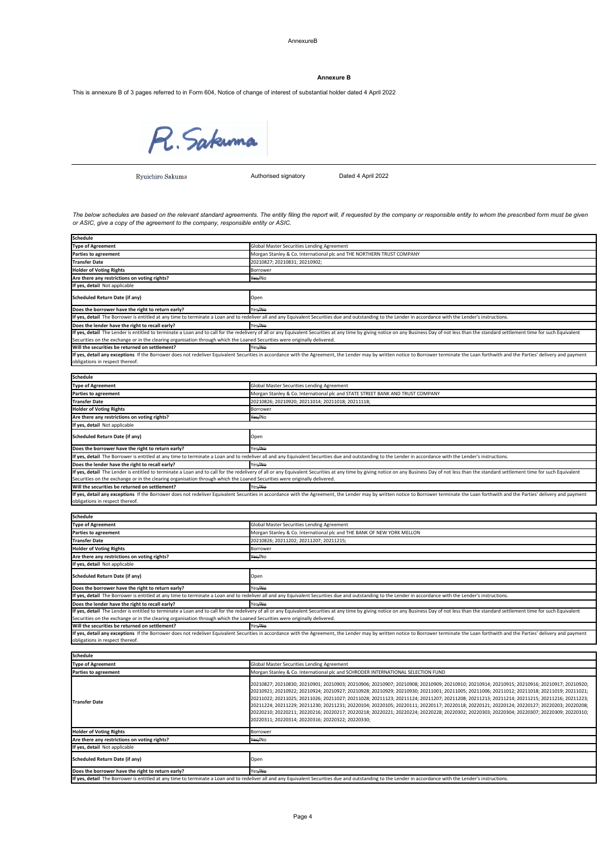#### AnnexureB

This is annexure B of 3 pages referred to in Form 604, Notice of change of interest of substantial holder dated 4 April 2022

R. Sakuma

Ryuichiro Sakuma

Authorised signatory Dated 4 April 2022

If yes, detail any exceptions If the Borrower does not redeliver Equivalent Securities in accordance with the Agreement, the Lender may by written notice to Borrower terminate the Loan forthwith and the Parties' delivery a obligations in respect thereof.

| Schedule                                          |                                                                                                                                                                                                                                                                                                                                                                                                                                                                                                                                                                                                                                                                                                                                                                                                        |
|---------------------------------------------------|--------------------------------------------------------------------------------------------------------------------------------------------------------------------------------------------------------------------------------------------------------------------------------------------------------------------------------------------------------------------------------------------------------------------------------------------------------------------------------------------------------------------------------------------------------------------------------------------------------------------------------------------------------------------------------------------------------------------------------------------------------------------------------------------------------|
| Type of Agreement                                 | Global Master Securities Lending Agreement                                                                                                                                                                                                                                                                                                                                                                                                                                                                                                                                                                                                                                                                                                                                                             |
| <b>Parties to agreement</b>                       | Morgan Stanley & Co. International plc and SCHRODER INTERNATIONAL SELECTION FUND                                                                                                                                                                                                                                                                                                                                                                                                                                                                                                                                                                                                                                                                                                                       |
| <b>ITransfer Date</b>                             | 20210827; 20210830; 20210901; 20210903; 20210906; 20210907; 20210908; 20210909; 20210910; 20210914; 20210915; 20210916; 20210917; 20210910;<br>20210921; 20210922; 20210924; 20210927; 20210928; 20210929; 20210930; 20211001; 20211005; 20211006; 20211012; 20211018; 20211019; 20211019; 20211021;<br>20211022; 20211025; 20211026; 20211027; 20211028; 20211123; 20211124; 20211207; 20211208; 20211213; 20211214; 20211215; 20211216; 20211213;<br>20211224; 20211229; 20211230; 20211231; 20220104; 20220105; 20220111; 20220117; 20220118; 20220121; 20220124; 20220127; 20220203; 20220208;<br>20220210; 20220211; 20220216; 20220217; 20220218; 20220221; 20220224; 20220228; 20220302; 20220303; 20220304; 20220307; 20220309; 20220310;<br>20220311; 20220314; 20220316; 20220322; 20220330; |
| <b>Holder of Voting Rights</b>                    | <b>Borrower</b>                                                                                                                                                                                                                                                                                                                                                                                                                                                                                                                                                                                                                                                                                                                                                                                        |
| Are there any restrictions on voting rights?      | Yes/No                                                                                                                                                                                                                                                                                                                                                                                                                                                                                                                                                                                                                                                                                                                                                                                                 |
| If yes, detail Not applicable                     |                                                                                                                                                                                                                                                                                                                                                                                                                                                                                                                                                                                                                                                                                                                                                                                                        |
| Scheduled Return Date (if any)                    | Open                                                                                                                                                                                                                                                                                                                                                                                                                                                                                                                                                                                                                                                                                                                                                                                                   |
| Does the borrower have the right to return early? | Yes/No                                                                                                                                                                                                                                                                                                                                                                                                                                                                                                                                                                                                                                                                                                                                                                                                 |
|                                                   | If yes, detail The Borrower is entitled at any time to terminate a Loan and to redeliver all and any Equivalent Securities due and outstanding to the Lender in accordance with the Lender's instructions.                                                                                                                                                                                                                                                                                                                                                                                                                                                                                                                                                                                             |

| Schedule                                                                                                                  |                                                                                                                                                                                                                                |
|---------------------------------------------------------------------------------------------------------------------------|--------------------------------------------------------------------------------------------------------------------------------------------------------------------------------------------------------------------------------|
| <b>Type of Agreement</b>                                                                                                  | Global Master Securities Lending Agreement                                                                                                                                                                                     |
| <b>Parties to agreement</b>                                                                                               | Morgan Stanley & Co. International plc and THE BANK OF NEW YORK MELLON                                                                                                                                                         |
| <b>Transfer Date</b>                                                                                                      | 20210826; 20211202; 20211207; 20211215;                                                                                                                                                                                        |
| <b>Holder of Voting Rights</b>                                                                                            | Borrower                                                                                                                                                                                                                       |
| Are there any restrictions on voting rights?                                                                              | Yes/No                                                                                                                                                                                                                         |
| If yes, detail Not applicable                                                                                             |                                                                                                                                                                                                                                |
| Scheduled Return Date (if any)                                                                                            | Open                                                                                                                                                                                                                           |
| Does the borrower have the right to return early?                                                                         | Yes <del>/No</del>                                                                                                                                                                                                             |
|                                                                                                                           | If yes, detail The Borrower is entitled at any time to terminate a Loan and to redeliver all and any Equivalent Securities due and outstanding to the Lender in accordance with the Lender's instructions.                     |
| Does the lender have the right to recall early?                                                                           | Yes/No                                                                                                                                                                                                                         |
| Securities on the exchange or in the clearing organisation through which the Loaned Securities were originally delivered. | If yes, detail The Lender is entitled to terminate a Loan and to call for the redelivery of all or any Equivalent Securities at any time by giving notice on any Business Day of not less than the standard settlement time fo |
| Will the securities be returned on settlement?                                                                            | Yes <del>/No</del>                                                                                                                                                                                                             |
| obligations in respect thereof.                                                                                           | If yes, detail any exceptions If the Borrower does not redeliver Equivalent Securities in accordance with the Agreement, the Lender may by written notice to Borrower terminate the Loan forthwith and the Parties' delivery a |

| <b>Schedule</b>                                                                                                           |                                                                                                                                                                                                                                |
|---------------------------------------------------------------------------------------------------------------------------|--------------------------------------------------------------------------------------------------------------------------------------------------------------------------------------------------------------------------------|
| <b>Type of Agreement</b>                                                                                                  | Global Master Securities Lending Agreement                                                                                                                                                                                     |
| <b>Parties to agreement</b>                                                                                               | Morgan Stanley & Co. International plc and THE NORTHERN TRUST COMPANY                                                                                                                                                          |
| <b>Transfer Date</b>                                                                                                      | 20210827; 20210831; 20210902;                                                                                                                                                                                                  |
| <b>Holder of Voting Rights</b>                                                                                            | <b>Borrower</b>                                                                                                                                                                                                                |
| Are there any restrictions on voting rights?                                                                              | Yes/No                                                                                                                                                                                                                         |
| If yes, detail Not applicable                                                                                             |                                                                                                                                                                                                                                |
| <b>Scheduled Return Date (if any)</b>                                                                                     | Open                                                                                                                                                                                                                           |
| Does the borrower have the right to return early?                                                                         | Yes <del>/No</del>                                                                                                                                                                                                             |
|                                                                                                                           | If yes, detail The Borrower is entitled at any time to terminate a Loan and to redeliver all and any Equivalent Securities due and outstanding to the Lender in accordance with the Lender's instructions.                     |
| Does the lender have the right to recall early?                                                                           | Yes <del>/No</del>                                                                                                                                                                                                             |
| Securities on the exchange or in the clearing organisation through which the Loaned Securities were originally delivered. | If yes, detail The Lender is entitled to terminate a Loan and to call for the redelivery of all or any Equivalent Securities at any time by giving notice on any Business Day of not less than the standard settlement time fo |
| Will the securities be returned on settlement?                                                                            | Yes <del>/No</del>                                                                                                                                                                                                             |
| obligations in respect thereof.                                                                                           | If yes, detail any exceptions If the Borrower does not redeliver Equivalent Securities in accordance with the Agreement, the Lender may by written notice to Borrower terminate the Loan forthwith and the Parties' delivery a |
|                                                                                                                           |                                                                                                                                                                                                                                |
| <b>Schedule</b>                                                                                                           |                                                                                                                                                                                                                                |
| <b>Type of Agreement</b>                                                                                                  | <b>Global Master Securities Lending Agreement</b>                                                                                                                                                                              |
| <b>Parties to agreement</b>                                                                                               | Morgan Stanley & Co. International plc and STATE STREET BANK AND TRUST COMPANY                                                                                                                                                 |
| <b>Transfer Date</b>                                                                                                      | 20210826; 20210920; 20211014; 20211018; 20211118;                                                                                                                                                                              |
| <b>Holder of Voting Rights</b>                                                                                            | <b>Borrower</b>                                                                                                                                                                                                                |
| Are there any restrictions on voting rights?                                                                              | Yes/No                                                                                                                                                                                                                         |
| If yes, detail Not applicable                                                                                             |                                                                                                                                                                                                                                |
| <b>Scheduled Return Date (if any)</b>                                                                                     | Open                                                                                                                                                                                                                           |
| Does the borrower have the right to return early?                                                                         | Yes <del>/No</del>                                                                                                                                                                                                             |
|                                                                                                                           | If yes, detail The Borrower is entitled at any time to terminate a Loan and to redeliver all and any Equivalent Securities due and outstanding to the Lender in accordance with the Lender's instructions.                     |
| Does the lender have the right to recall early?                                                                           | Yes <del>/No</del>                                                                                                                                                                                                             |
|                                                                                                                           | If yes, detail The Lender is entitled to terminate a Loan and to call for the redelivery of all or any Equivalent Securities at any time by giving notice on any Business Day of not less than the standard settlement time fo |

Securities on the exchange or in the clearing organisation through which the Loaned Securities were originally delivered.

**Will the securities be returned on settlement?** Yes/No

#### **Annexure B**

*The below schedules are based on the relevant standard agreements. The entity filing the report will, if requested by the company or responsible entity to whom the prescribed form must be given or ASIC, give a copy of the agreement to the company, responsible entity or ASIC.*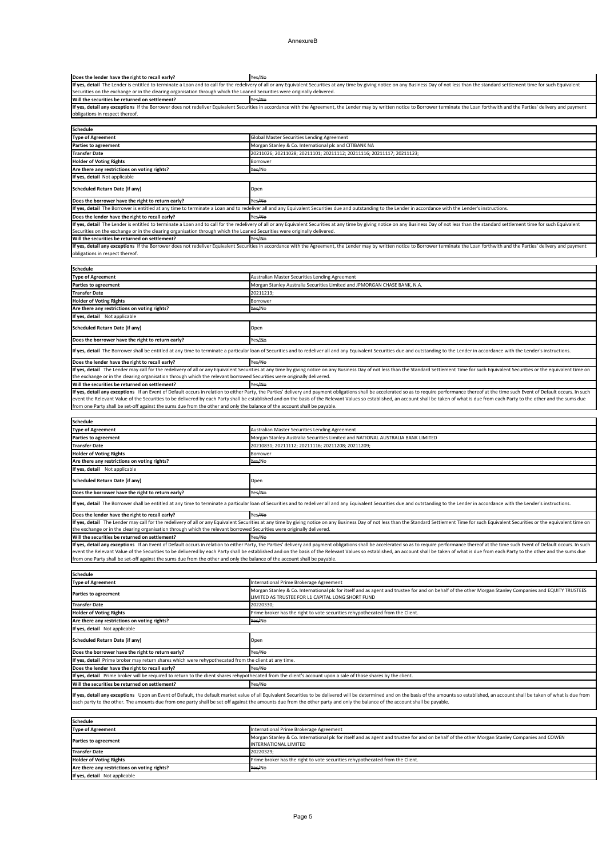#### AnnexureB

If yes, detail any exceptions If an Event of Default occurs in relation to either Party, the Parties' delivery and payment obligations shall be accelerated so as to require performance thereof at the time such Event of Def event the Relevant Value of the Securities to be delivered by each Party shall be established and on the basis of the Relevant Values so established, an account shall be taken of what is due from each Party to the other an from one Party shall be set-off against the sums due from the other and only the balance of the account shall be payable.

| <b>Schedule</b>                              |                                                                                                                                                                              |
|----------------------------------------------|------------------------------------------------------------------------------------------------------------------------------------------------------------------------------|
| Type of Agreement                            | International Prime Brokerage Agreement                                                                                                                                      |
| <b>Parties to agreement</b>                  | Morgan Stanley & Co. International plc for itself and as agent and trustee for and on behalf of the other Morgan Stanley Companies and COWEN<br><b>INTERNATIONAL LIMITED</b> |
| <b>Transfer Date</b>                         | 20220329;                                                                                                                                                                    |
| <b>Holder of Voting Rights</b>               | Prime broker has the right to vote securities rehypothecated from the Client.                                                                                                |
| Are there any restrictions on voting rights? | Yes/No                                                                                                                                                                       |
| If yes, detail Not applicable                |                                                                                                                                                                              |

| <b>Schedule</b>                                                                                                                                                 |                                                                                                                                                                                                             |
|-----------------------------------------------------------------------------------------------------------------------------------------------------------------|-------------------------------------------------------------------------------------------------------------------------------------------------------------------------------------------------------------|
| <b>Type of Agreement</b>                                                                                                                                        | International Prime Brokerage Agreement                                                                                                                                                                     |
| <b>Parties to agreement</b>                                                                                                                                     | Morgan Stanley & Co. International plc for itself and as agent and trustee for and on behalf of the other Morgan Stanley Companies and EQUITY TRUSTEES<br>LIMITED AS TRUSTEE FOR L1 CAPITAL LONG SHORT FUND |
| <b>Transfer Date</b>                                                                                                                                            | 20220330;                                                                                                                                                                                                   |
| <b>Holder of Voting Rights</b>                                                                                                                                  | Prime broker has the right to vote securities rehypothecated from the Client.                                                                                                                               |
| Are there any restrictions on voting rights?                                                                                                                    | Yes/No                                                                                                                                                                                                      |
| If yes, detail Not applicable                                                                                                                                   |                                                                                                                                                                                                             |
| Scheduled Return Date (if any)                                                                                                                                  | Open                                                                                                                                                                                                        |
| Does the borrower have the right to return early?                                                                                                               | Yes <del>/No</del>                                                                                                                                                                                          |
| If yes, detail Prime broker may return shares which were rehypothecated from the client at any time.                                                            |                                                                                                                                                                                                             |
| Does the lender have the right to recall early?                                                                                                                 | Yes/No                                                                                                                                                                                                      |
| If yes, detail Prime broker will be required to return to the client shares rehypothecated from the client's account upon a sale of those shares by the client. |                                                                                                                                                                                                             |
| Will the securities be returned on settlement?                                                                                                                  | Yes <del>/No</del>                                                                                                                                                                                          |

If yes, detail any exceptions Upon an Event of Default, the default market value of all Equivalent Securities to be delivered will be determined and on the basis of the amounts so established, an account shall be taken of each party to the other. The amounts due from one party shall be set off against the amounts due from the other party and only the balance of the account shall be payable.

If yes, detail any exceptions If the Borrower does not redeliver Equivalent Securities in accordance with the Agreement, the Lender may by written notice to Borrower terminate the Loan forthwith and the Parties' delivery a obligations in respect thereof.

| <b>Schedule</b>                                                                                                                                                                                                                |                                                                                 |
|--------------------------------------------------------------------------------------------------------------------------------------------------------------------------------------------------------------------------------|---------------------------------------------------------------------------------|
| <b>Type of Agreement</b>                                                                                                                                                                                                       | Australian Master Securities Lending Agreement                                  |
| <b>Parties to agreement</b>                                                                                                                                                                                                    | Morgan Stanley Australia Securities Limited and NATIONAL AUSTRALIA BANK LIMITED |
| <b>Transfer Date</b>                                                                                                                                                                                                           | 20210831; 20211112; 20211116; 20211208; 20211209;                               |
| <b>Holder of Voting Rights</b>                                                                                                                                                                                                 | <b>Borrower</b>                                                                 |
| Are there any restrictions on voting rights?                                                                                                                                                                                   | Yes/No                                                                          |
| If yes, detail Not applicable                                                                                                                                                                                                  |                                                                                 |
| Scheduled Return Date (if any)                                                                                                                                                                                                 | Open                                                                            |
| Does the borrower have the right to return early?                                                                                                                                                                              | Yes <del>/No</del>                                                              |
| If yes, detail The Borrower shall be entitled at any time to terminate a particular loan of Securities and to redeliver all and any Equivalent Securities due and outstanding to the Lender in accordance with the Lender's in |                                                                                 |
| Does the lender have the right to recall early?                                                                                                                                                                                | Yes/No                                                                          |
| If yes, detail The Lender may call for the redelivery of all or any Equivalent Securities at any time by giving notice on any Business Day of not less than the Standard Settlement Time for such Equivalent Securities or the |                                                                                 |
| the exchange or in the clearing organisation through which the relevant borrowed Securities were originally delivered.                                                                                                         |                                                                                 |
| Will the securities be returned on settlement?                                                                                                                                                                                 | Yes/No                                                                          |

| <b>Schedule</b>                                                                                                                                                                                                                                                                                                                                             |                                                                           |
|-------------------------------------------------------------------------------------------------------------------------------------------------------------------------------------------------------------------------------------------------------------------------------------------------------------------------------------------------------------|---------------------------------------------------------------------------|
| <b>Type of Agreement</b>                                                                                                                                                                                                                                                                                                                                    | <b>Australian Master Securities Lending Agreement</b>                     |
| <b>Parties to agreement</b>                                                                                                                                                                                                                                                                                                                                 | Morgan Stanley Australia Securities Limited and JPMORGAN CHASE BANK, N.A. |
| <b>Transfer Date</b>                                                                                                                                                                                                                                                                                                                                        | 20211213;                                                                 |
| <b>Holder of Voting Rights</b>                                                                                                                                                                                                                                                                                                                              | <b>Borrower</b>                                                           |
| Are there any restrictions on voting rights?                                                                                                                                                                                                                                                                                                                | Yes/No                                                                    |
| If yes, detail Not applicable                                                                                                                                                                                                                                                                                                                               |                                                                           |
| <b>Scheduled Return Date (if any)</b>                                                                                                                                                                                                                                                                                                                       | Open                                                                      |
| Does the borrower have the right to return early?                                                                                                                                                                                                                                                                                                           | Yes <del>/No</del>                                                        |
| If yes, detail The Borrower shall be entitled at any time to terminate a particular loan of Securities and to redeliver all and any Equivalent Securities due and outstanding to the Lender in accordance with the Lender's in                                                                                                                              |                                                                           |
| Does the lender have the right to recall early?                                                                                                                                                                                                                                                                                                             | Yes/No                                                                    |
| If yes, detail The Lender may call for the redelivery of all or any Equivalent Securities at any time by giving notice on any Business Day of not less than the Standard Settlement Time for such Equivalent Securities or the                                                                                                                              |                                                                           |
| the exchange or in the clearing organisation through which the relevant borrowed Securities were originally delivered.                                                                                                                                                                                                                                      |                                                                           |
| Will the securities be returned on settlement?                                                                                                                                                                                                                                                                                                              | Yes <del>/No</del>                                                        |
| If yes, detail any exceptions If an Event of Default occurs in relation to either Party, the Parties' delivery and payment obligations shall be accelerated so as to require performance thereof at the time such Event of Def                                                                                                                              |                                                                           |
| event the Relevant Value of the Securities to be delivered by each Party shall be established and on the basis of the Relevant Values so established, an account shall be taken of what is due from each Party to the other an<br>from one Party shall be set-off against the sums due from the other and only the balance of the account shall be payable. |                                                                           |

| Does the lender have the right to recall early?                                                                                                                                                                                | Yes/No                                                                                                                                                                                                                         |
|--------------------------------------------------------------------------------------------------------------------------------------------------------------------------------------------------------------------------------|--------------------------------------------------------------------------------------------------------------------------------------------------------------------------------------------------------------------------------|
|                                                                                                                                                                                                                                | If yes, detail The Lender is entitled to terminate a Loan and to call for the redelivery of all or any Equivalent Securities at any time by giving notice on any Business Day of not less than the standard settlement time fo |
| Securities on the exchange or in the clearing organisation through which the Loaned Securities were originally delivered.                                                                                                      |                                                                                                                                                                                                                                |
| Will the securities be returned on settlement?                                                                                                                                                                                 | Yes <del>/No</del>                                                                                                                                                                                                             |
|                                                                                                                                                                                                                                | If yes, detail any exceptions If the Borrower does not redeliver Equivalent Securities in accordance with the Agreement, the Lender may by written notice to Borrower terminate the Loan forthwith and the Parties' delivery a |
| obligations in respect thereof.                                                                                                                                                                                                |                                                                                                                                                                                                                                |
|                                                                                                                                                                                                                                |                                                                                                                                                                                                                                |
| <b>Schedule</b>                                                                                                                                                                                                                |                                                                                                                                                                                                                                |
| <b>Type of Agreement</b>                                                                                                                                                                                                       | Global Master Securities Lending Agreement                                                                                                                                                                                     |
| <b>Parties to agreement</b>                                                                                                                                                                                                    | Morgan Stanley & Co. International plc and CITIBANK NA                                                                                                                                                                         |
| <b>Transfer Date</b>                                                                                                                                                                                                           | 20211026; 20211028; 20211101; 20211112; 20211116; 20211117; 20211123;                                                                                                                                                          |
| <b>Holder of Voting Rights</b>                                                                                                                                                                                                 | <b>Borrower</b>                                                                                                                                                                                                                |
| Are there any restrictions on voting rights?                                                                                                                                                                                   | Yes/No                                                                                                                                                                                                                         |
| If yes, detail Not applicable                                                                                                                                                                                                  |                                                                                                                                                                                                                                |
| <b>Scheduled Return Date (if any)</b>                                                                                                                                                                                          | Open                                                                                                                                                                                                                           |
| Does the borrower have the right to return early?                                                                                                                                                                              | Yes <del>/No</del>                                                                                                                                                                                                             |
| If yes, detail The Borrower is entitled at any time to terminate a Loan and to redeliver all and any Equivalent Securities due and outstanding to the Lender in accordance with the Lender's instructions.                     |                                                                                                                                                                                                                                |
| Does the lender have the right to recall early?                                                                                                                                                                                | Yes/No                                                                                                                                                                                                                         |
| If yes, detail The Lender is entitled to terminate a Loan and to call for the redelivery of all or any Equivalent Securities at any time by giving notice on any Business Day of not less than the standard settlement time fo |                                                                                                                                                                                                                                |
| Securities on the exchange or in the clearing organisation through which the Loaned Securities were originally delivered.                                                                                                      |                                                                                                                                                                                                                                |
| Will the securities be returned on settlement?                                                                                                                                                                                 | Yes/No                                                                                                                                                                                                                         |